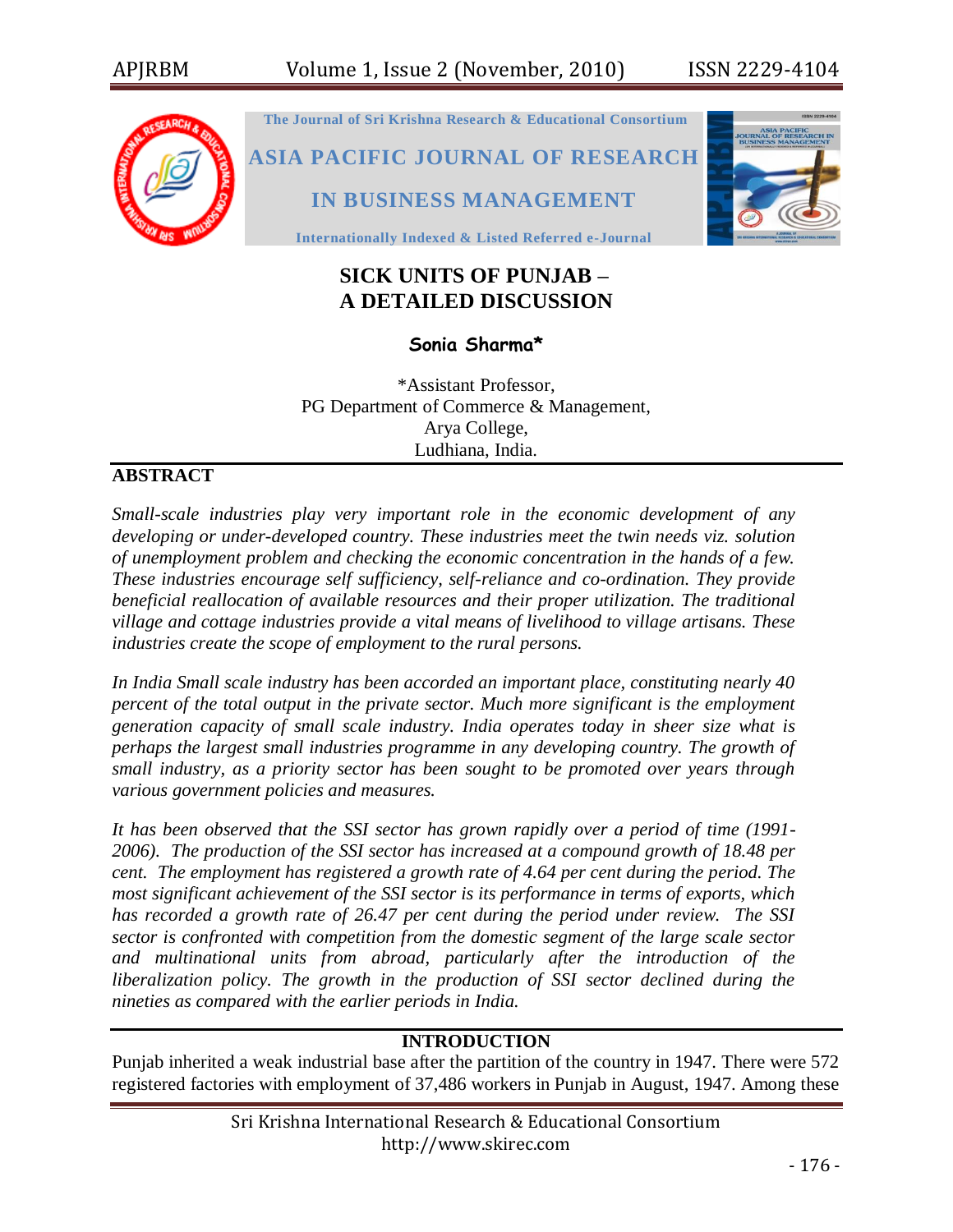

# **SICK UNITS OF PUNJAB – A DETAILED DISCUSSION**

## **Sonia Sharma\***

\*Assistant Professor, PG Department of Commerce & Management, Arya College, Ludhiana, India.

## **ABSTRACT**

*Small-scale industries play very important role in the economic development of any developing or under-developed country. These industries meet the twin needs viz. solution of unemployment problem and checking the economic concentration in the hands of a few. These industries encourage self sufficiency, self-reliance and co-ordination. They provide beneficial reallocation of available resources and their proper utilization. The traditional village and cottage industries provide a vital means of livelihood to village artisans. These industries create the scope of employment to the rural persons.*

*In India Small scale industry has been accorded an important place, constituting nearly 40 percent of the total output in the private sector. Much more significant is the employment generation capacity of small scale industry. India operates today in sheer size what is perhaps the largest small industries programme in any developing country. The growth of small industry, as a priority sector has been sought to be promoted over years through various government policies and measures.*

*It has been observed that the SSI sector has grown rapidly over a period of time (1991- 2006). The production of the SSI sector has increased at a compound growth of 18.48 per cent. The employment has registered a growth rate of 4.64 per cent during the period. The most significant achievement of the SSI sector is its performance in terms of exports, which has recorded a growth rate of 26.47 per cent during the period under review. The SSI sector is confronted with competition from the domestic segment of the large scale sector and multinational units from abroad, particularly after the introduction of the liberalization policy. The growth in the production of SSI sector declined during the nineties as compared with the earlier periods in India.*

#### **INTRODUCTION**

Punjab inherited a weak industrial base after the partition of the country in 1947. There were 572 registered factories with employment of 37,486 workers in Punjab in August, 1947. Among these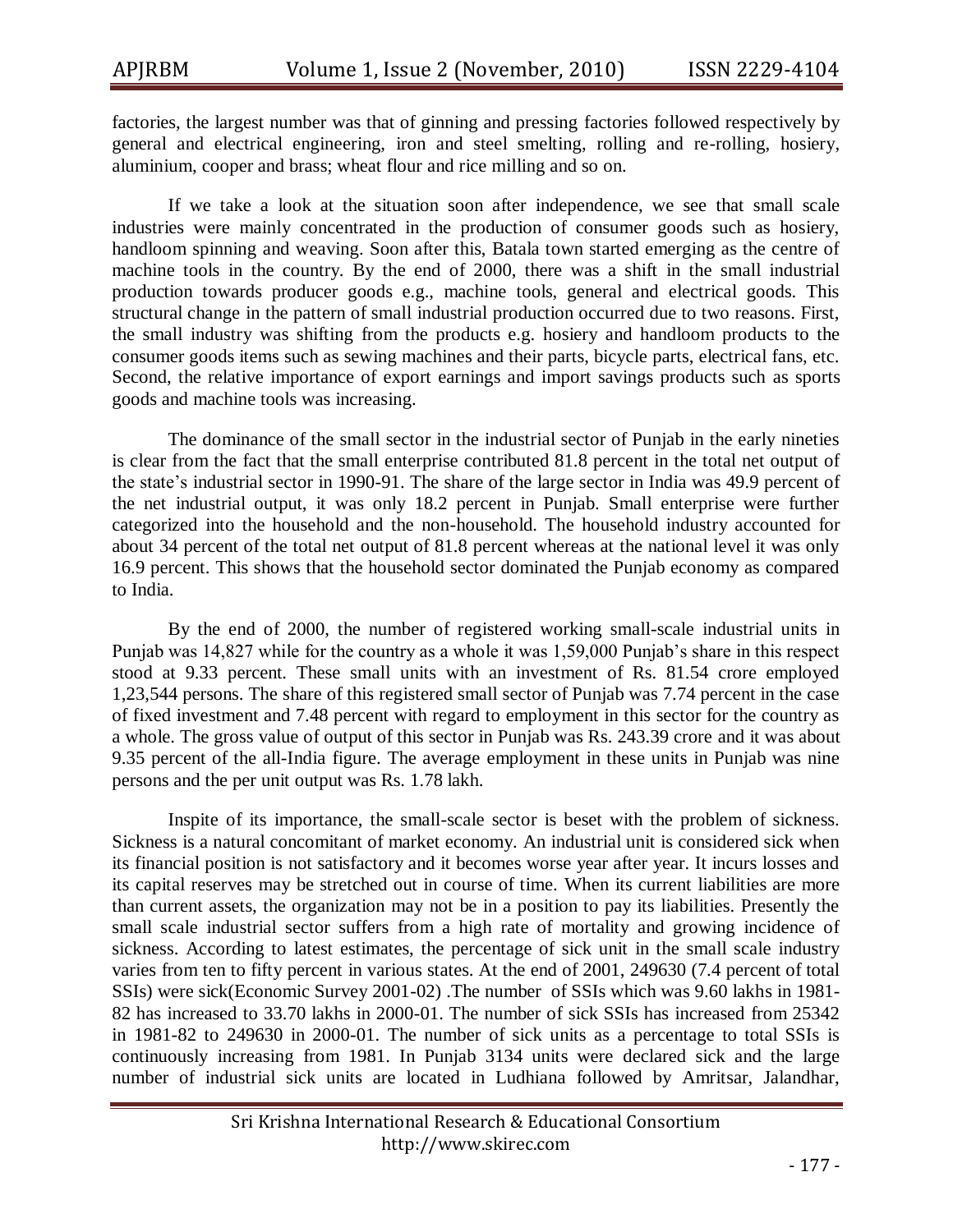factories, the largest number was that of ginning and pressing factories followed respectively by general and electrical engineering, iron and steel smelting, rolling and re-rolling, hosiery, aluminium, cooper and brass; wheat flour and rice milling and so on.

If we take a look at the situation soon after independence, we see that small scale industries were mainly concentrated in the production of consumer goods such as hosiery, handloom spinning and weaving. Soon after this, Batala town started emerging as the centre of machine tools in the country. By the end of 2000, there was a shift in the small industrial production towards producer goods e.g., machine tools, general and electrical goods. This structural change in the pattern of small industrial production occurred due to two reasons. First, the small industry was shifting from the products e.g. hosiery and handloom products to the consumer goods items such as sewing machines and their parts, bicycle parts, electrical fans, etc. Second, the relative importance of export earnings and import savings products such as sports goods and machine tools was increasing.

The dominance of the small sector in the industrial sector of Punjab in the early nineties is clear from the fact that the small enterprise contributed 81.8 percent in the total net output of the state's industrial sector in 1990-91. The share of the large sector in India was 49.9 percent of the net industrial output, it was only 18.2 percent in Punjab. Small enterprise were further categorized into the household and the non-household. The household industry accounted for about 34 percent of the total net output of 81.8 percent whereas at the national level it was only 16.9 percent. This shows that the household sector dominated the Punjab economy as compared to India.

By the end of 2000, the number of registered working small-scale industrial units in Punjab was 14,827 while for the country as a whole it was 1,59,000 Punjab's share in this respect stood at 9.33 percent. These small units with an investment of Rs. 81.54 crore employed 1,23,544 persons. The share of this registered small sector of Punjab was 7.74 percent in the case of fixed investment and 7.48 percent with regard to employment in this sector for the country as a whole. The gross value of output of this sector in Punjab was Rs. 243.39 crore and it was about 9.35 percent of the all-India figure. The average employment in these units in Punjab was nine persons and the per unit output was Rs. 1.78 lakh.

Inspite of its importance, the small-scale sector is beset with the problem of sickness. Sickness is a natural concomitant of market economy. An industrial unit is considered sick when its financial position is not satisfactory and it becomes worse year after year. It incurs losses and its capital reserves may be stretched out in course of time. When its current liabilities are more than current assets, the organization may not be in a position to pay its liabilities. Presently the small scale industrial sector suffers from a high rate of mortality and growing incidence of sickness. According to latest estimates, the percentage of sick unit in the small scale industry varies from ten to fifty percent in various states. At the end of 2001, 249630 (7.4 percent of total SSIs) were sick(Economic Survey 2001-02) .The number of SSIs which was 9.60 lakhs in 1981- 82 has increased to 33.70 lakhs in 2000-01. The number of sick SSIs has increased from 25342 in 1981-82 to 249630 in 2000-01. The number of sick units as a percentage to total SSIs is continuously increasing from 1981. In Punjab 3134 units were declared sick and the large number of industrial sick units are located in Ludhiana followed by Amritsar, Jalandhar,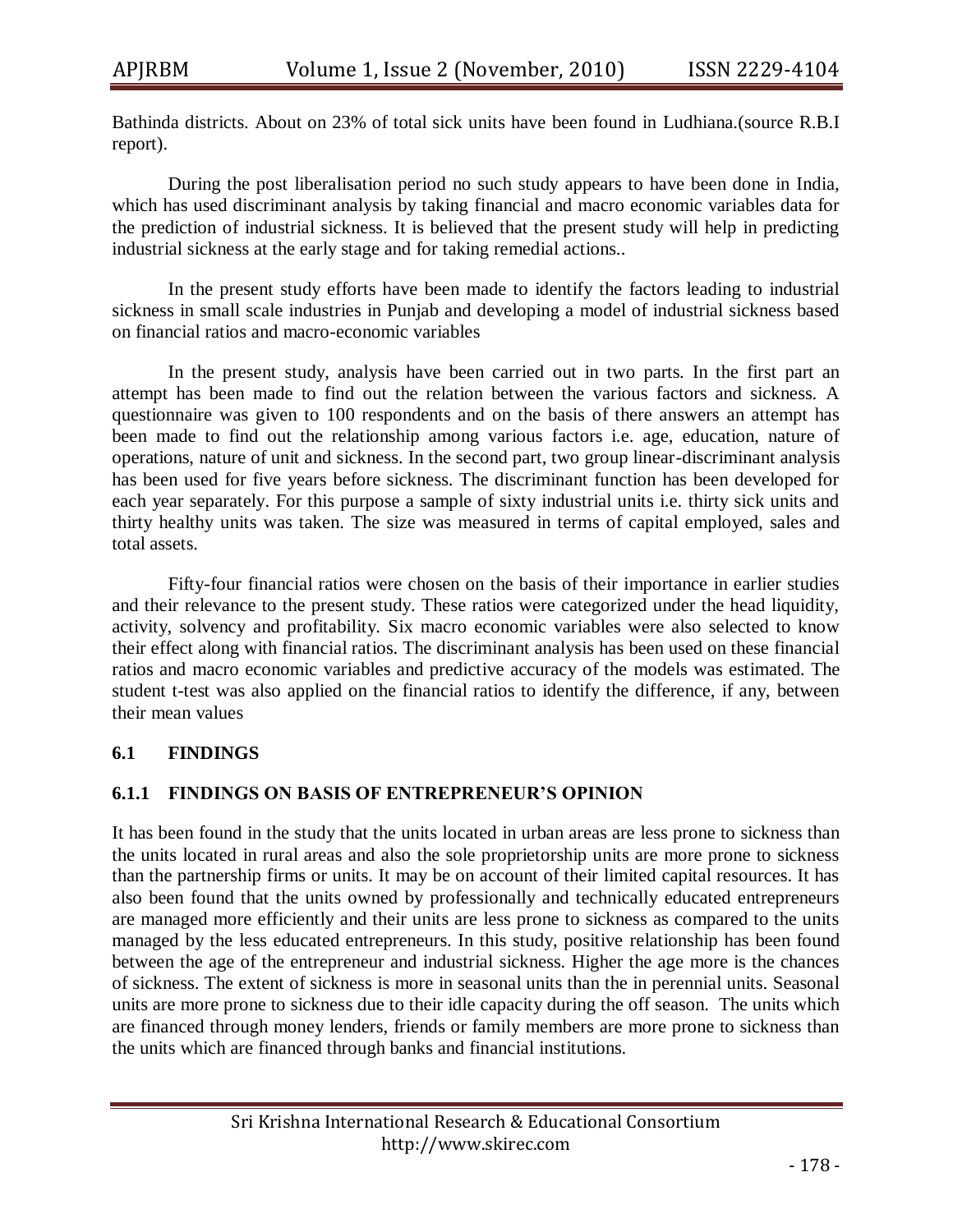Bathinda districts. About on 23% of total sick units have been found in Ludhiana.(source R.B.I report).

During the post liberalisation period no such study appears to have been done in India, which has used discriminant analysis by taking financial and macro economic variables data for the prediction of industrial sickness. It is believed that the present study will help in predicting industrial sickness at the early stage and for taking remedial actions..

In the present study efforts have been made to identify the factors leading to industrial sickness in small scale industries in Punjab and developing a model of industrial sickness based on financial ratios and macro-economic variables

In the present study, analysis have been carried out in two parts. In the first part an attempt has been made to find out the relation between the various factors and sickness. A questionnaire was given to 100 respondents and on the basis of there answers an attempt has been made to find out the relationship among various factors i.e. age, education, nature of operations, nature of unit and sickness. In the second part, two group linear-discriminant analysis has been used for five years before sickness. The discriminant function has been developed for each year separately. For this purpose a sample of sixty industrial units i.e. thirty sick units and thirty healthy units was taken. The size was measured in terms of capital employed, sales and total assets.

 Fifty-four financial ratios were chosen on the basis of their importance in earlier studies and their relevance to the present study. These ratios were categorized under the head liquidity, activity, solvency and profitability. Six macro economic variables were also selected to know their effect along with financial ratios. The discriminant analysis has been used on these financial ratios and macro economic variables and predictive accuracy of the models was estimated. The student t-test was also applied on the financial ratios to identify the difference, if any, between their mean values

### **6.1 FINDINGS**

### **6.1.1 FINDINGS ON BASIS OF ENTREPRENEUR'S OPINION**

It has been found in the study that the units located in urban areas are less prone to sickness than the units located in rural areas and also the sole proprietorship units are more prone to sickness than the partnership firms or units. It may be on account of their limited capital resources. It has also been found that the units owned by professionally and technically educated entrepreneurs are managed more efficiently and their units are less prone to sickness as compared to the units managed by the less educated entrepreneurs. In this study, positive relationship has been found between the age of the entrepreneur and industrial sickness. Higher the age more is the chances of sickness. The extent of sickness is more in seasonal units than the in perennial units. Seasonal units are more prone to sickness due to their idle capacity during the off season. The units which are financed through money lenders, friends or family members are more prone to sickness than the units which are financed through banks and financial institutions.